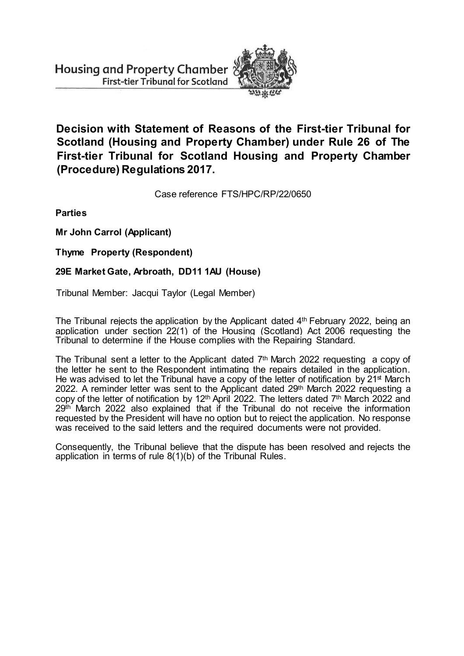

**Decision with Statement of Reasons of the First-tier Tribunal for Scotland (Housing and Property Chamber) under Rule 26 of The First-tier Tribunal for Scotland Housing and Property Chamber (Procedure) Regulations 2017.**

Case reference FTS/HPC/RP/22/0650

**Parties**

**Mr John Carrol (Applicant)**

**Thyme Property (Respondent)**

## **29E Market Gate, Arbroath, DD11 1AU (House)**

Tribunal Member: Jacqui Taylor (Legal Member)

The Tribunal rejects the application by the Applicant dated 4<sup>th</sup> February 2022, being an application under section 22(1) of the Housing (Scotland) Act 2006 requesting the Tribunal to determine if the House complies with the Repairing Standard.

The Tribunal sent a letter to the Applicant dated  $7<sup>th</sup>$  March 2022 requesting a copy of the letter he sent to the Respondent intimating the repairs detailed in the application. He was advised to let the Tribunal have a copy of the letter of notification by  $21<sup>st</sup>$  March 2022. A reminder letter was sent to the Applicant dated 29th March 2022 requesting a copy of the letter of notification by 12<sup>th</sup> April 2022. The letters dated 7<sup>th</sup> March 2022 and 29th March 2022 also explained that if the Tribunal do not receive the information requested by the President will have no option but to reject the application. No response was received to the said letters and the required documents were not provided.

Consequently, the Tribunal believe that the dispute has been resolved and rejects the application in terms of rule 8(1)(b) of the Tribunal Rules.